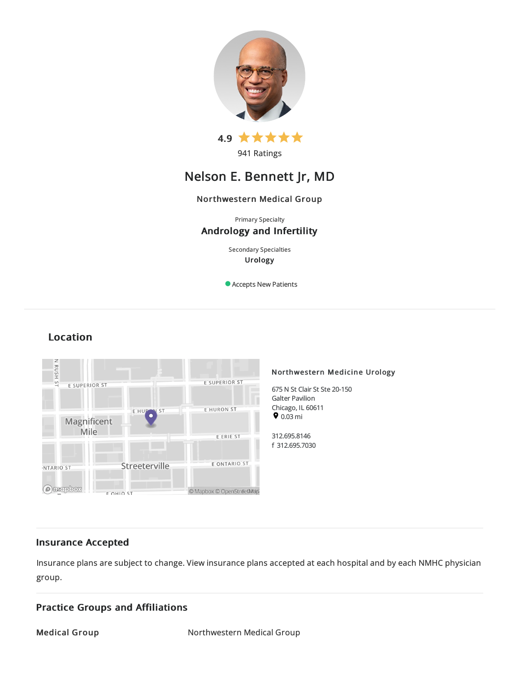

941 Ratings

# Nelson E. Bennett Jr, MD

## Northwestern Medical Group

Primary Specialty Andrology and Infertility

> Secondary Specialties Urology

Accepts New Patients

#### **HSNBN** Northwestern Medicine Urology E SUPERIOR ST S. E SUPERIOR ST 675 N St Clair St Ste 20-150 Galter Pavilion EHUM Chicago, IL 60611 EHURON ST **ST**  $\bullet$  0.03 mi Magnificent Mile 312.695.8146 E ERIE ST f 312.695.7030 E ONTARIO ST Streeterville NTARIO ST **Ontepbox** © Mapbox © OpenStreetMap **FOHIO ST**

# Location

## Insurance Accepted

Insurance plans are subject to change. View [insurance](https://www.nm.org/patients-and-visitors/billing-and-insurance/insurance-information/accepted-insurance-plans) plans accepted at each hospital and by each NMHC physician group.

## Practice Groups and Affiliations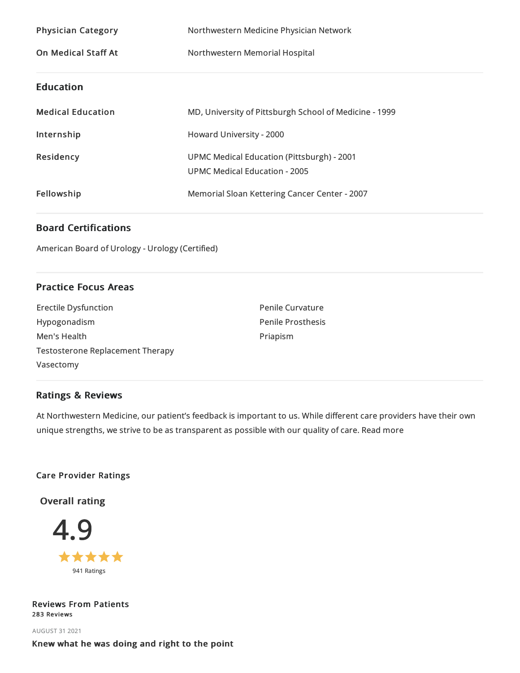| <b>Physician Category</b>  | Northwestern Medicine Physician Network                                                   |
|----------------------------|-------------------------------------------------------------------------------------------|
| <b>On Medical Staff At</b> | Northwestern Memorial Hospital                                                            |
| <b>Education</b>           |                                                                                           |
| <b>Medical Education</b>   | MD, University of Pittsburgh School of Medicine - 1999                                    |
| Internship                 | Howard University - 2000                                                                  |
| Residency                  | <b>UPMC Medical Education (Pittsburgh) - 2001</b><br><b>UPMC Medical Education - 2005</b> |
| Fellowship                 | Memorial Sloan Kettering Cancer Center - 2007                                             |

## Board Certifications

American Board of Urology - Urology (Certified)

## Practice Focus Areas

| <b>Erectile Dysfunction</b>             |  |
|-----------------------------------------|--|
| Hypogonadism                            |  |
| Men's Health                            |  |
| <b>Testosterone Replacement Therapy</b> |  |
| Vasectomy                               |  |

Penile Curvature Penile Prosthesis Priapism

## Ratings & Reviews

At Northwestern Medicine, our patient's feedback is important to us. While different care providers have their own unique strengths, we strive to be as transparent as possible with our quality of care. Read more

## Care Provider Ratings

Overall rating



Reviews From Patients 283 Reviews

AUGUST 312021 Knew what he was doing and right to the point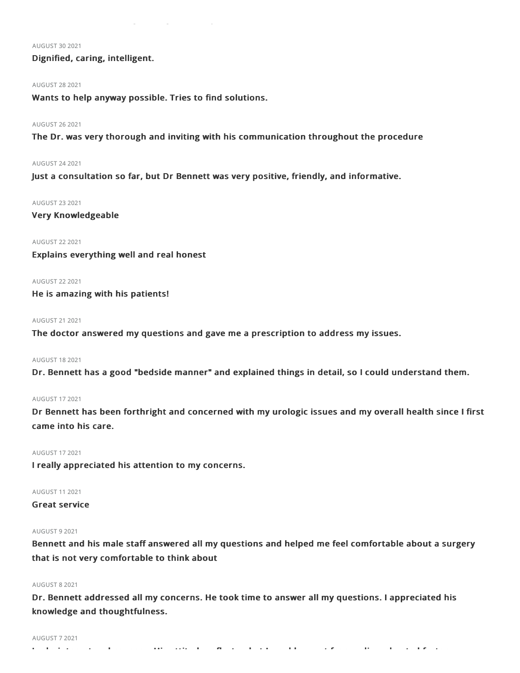#### AUGUST 30 2021

## Dignified, caring, intelligent.

## AUGUST 282021

Wants to help anyway possible. Tries to find solutions.

#### AUGUST 262021

The Dr. was very thorough and inviting with his communication throughout the procedure

#### AUGUST 242021

Just a consultation so far, but Dr Bennett was very positive, friendly, and informative.

#### AUGUST 232021

Very Knowledgeable

## AUGUST 222021

Explains everything well and real honest

## AUGUST 222021

He is amazing with his patients!

## AUGUST 212021

The doctor answered my questions and gave me a prescription to address my issues.

## AUGUST 182021

Dr. Bennett has a good "bedside manner" and explained things in detail, so I could understand them.

## AUGUST 172021

Dr Bennett has been forthright and concerned with my urologic issues and my overall health since I first came into his care.

### AUGUST 172021

I really appreciated his attention to my concerns.

## AUGUST 112021

## Great service

## AUGUST 92021

Bennett and his male staff answered all my questions and helped me feel comfortable about a surgery that is not very comfortable to think about

## AUGUST 82021

Dr. Bennett addressed all my concerns. He took time to answer all my questions. I appreciated his knowledge and thoughtfulness.

#### AUGUST 72021

Lacks interest and concern. His attitude reflects what I would expect from a disenchanted factory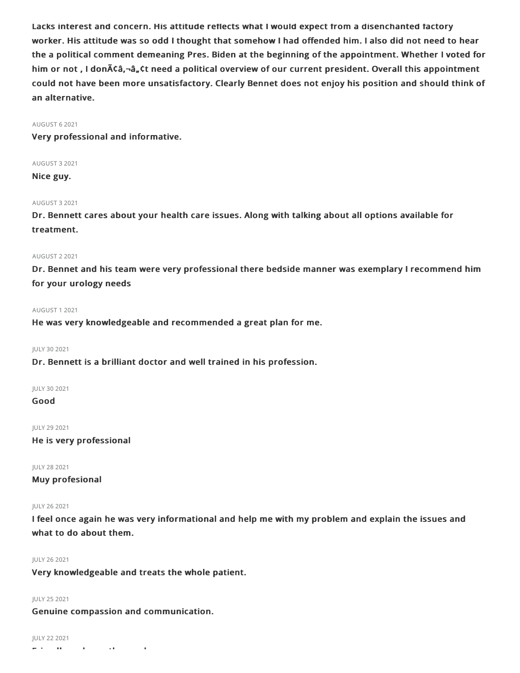Lacks interest and concern. His attitude reflects what I would expect from a disenchanted factory worker. His attitude was so odd I thought that somehow I had offended him. I also did not need to hear the a political comment demeaning Pres. Biden at the beginning of the appointment. Whether I voted for him or not, I donââ,-â, ¢t need a political overview of our current president. Overall this appointment could not have been more unsatisfactory. Clearly Bennet does not enjoy his position and should think of an alternative.

## AUGUST 62021

Very professional and informative.

AUGUST 32021

Nice guy.

## AUGUST 32021

Dr. Bennett cares about your health care issues. Along with talking about all options available for treatment.

## AUGUST 22021

Dr. Bennet and his team were very professional there bedside manner was exemplary I recommend him for your urology needs

## AUGUST 12021

He was very knowledgeable and recommended a great plan for me.

## JULY 30 2021

Dr. Bennett is a brilliant doctor and well trained in his profession.

JULY 30 2021

Good

JULY 29 2021

He is very professional

JULY 282021

Muy profesional

## JULY 262021

I feel once again he was very informational and help me with my problem and explain the issues and what to do about them.

## JULY 262021

Very knowledgeable and treats the whole patient.

## JULY 252021

Genuine compassion and communication.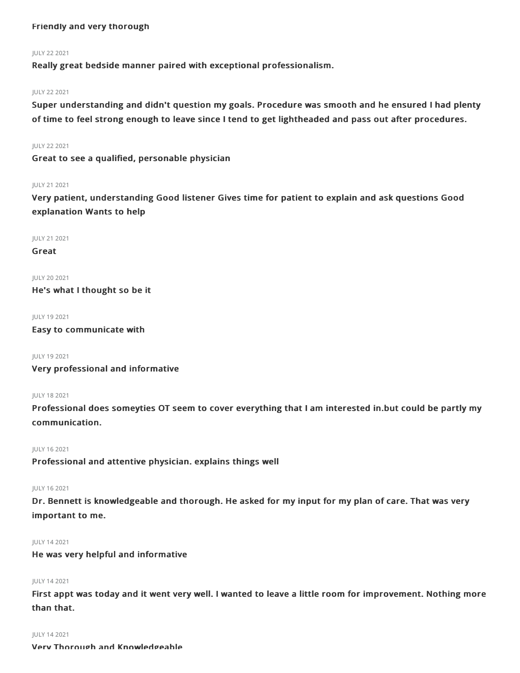## Friendly and very thorough

## JULY 222021

Really great bedside manner paired with exceptional professionalism.

## JULY 222021

Super understanding and didn't question my goals. Procedure was smooth and he ensured I had plenty of time to feel strong enough to leave since I tend to get lightheaded and pass out after procedures.

## JULY 222021

Great to see a qualified, personable physician

## JULY 212021

Very patient, understanding Good listener Gives time for patient to explain and ask questions Good explanation Wants to help

JULY 212021

Great

JULY 20 2021 He's what I thought so be it

JULY 192021

Easy to communicate with

JULY 192021

Very professional and informative

## JULY 182021

Professional does someyties OT seem to cover everything that I am interested in.but could be partly my communication.

## JULY 162021

Professional and attentive physician. explains things well

## JULY 162021

Dr. Bennett is knowledgeable and thorough. He asked for my input for my plan of care. That was very important to me.

## JULY 142021

He was very helpful and informative

## JULY 142021

First appt was today and it went very well. I wanted to leave a little room for improvement. Nothing more than that.

#### JULY 142021

Very Thorough and Knowledgeable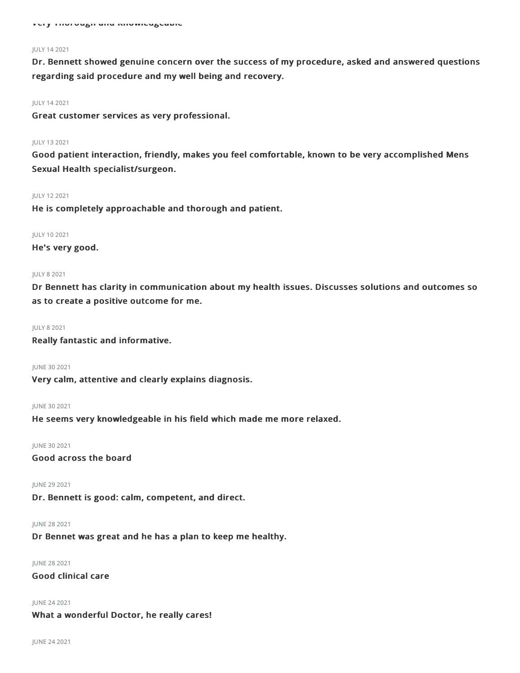#### JULY 142021

Dr. Bennett showed genuine concern over the success of my procedure, asked and answered questions regarding said procedure and my well being and recovery.

#### JULY 142021

Great customer services as very professional.

#### JULY 132021

Good patient interaction, friendly, makes you feel comfortable, known to be very accomplished Mens Sexual Health specialist/surgeon.

## JULY 122021

He is completely approachable and thorough and patient.

#### JULY 102021

He's very good.

#### JULY 82021

Dr Bennett has clarity in communication about my health issues. Discusses solutions and outcomes so as to create a positive outcome for me.

#### JULY 82021

Really fantastic and informative.

JUNE 30 2021

Very calm, attentive and clearly explains diagnosis.

## JUNE 30 2021

He seems very knowledgeable in his field which made me more relaxed.

#### JUNE 302021

Good across the board

#### JUNE 292021

Dr. Bennett is good: calm, competent, and direct.

#### JUNE 282021

Dr Bennet was great and he has a plan to keep me healthy.

JUNE 282021

Good clinical care

JUNE 242021

What a wonderful Doctor, he really cares!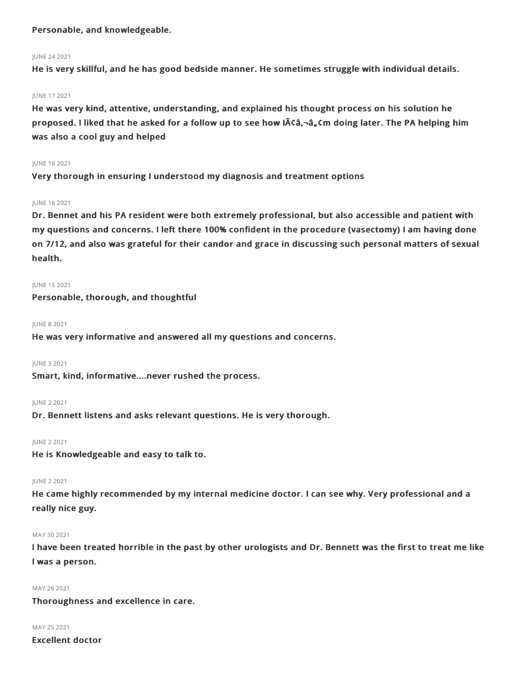## Personable, and knowledgeable.

## JUNE 242021

He is very skillful, and he has good bedside manner. He sometimes struggle with individual details.

## JUNE 172021

He was very kind, attentive, understanding, and explained his thought process on his solution he proposed. I liked that he asked for a follow up to see how Iââ,-â"¢m doing later. The PA helping him was also a cool guy and helped

## JUNE 162021

Very thorough in ensuring I understood my diagnosis and treatment options

## JUNE 162021

Dr. Bennet and his PA resident were both extremely professional, but also accessible and patient with my questions and concerns. I left there 100% confident in the procedure (vasectomy) I am having done on 7/12, and also was grateful for their candor and grace in discussing such personal matters of sexual health.

## JUNE 152021

## Personable, thorough, and thoughtful

## JUNE 82021

He was very informative and answered all my questions and concerns.

## JUNE 32021

Smart, kind, informative....never rushed the process.

## JUNE 22021

Dr. Bennett listens and asks relevant questions. He is very thorough.

## JUNE 22021

He is Knowledgeable and easy to talk to.

## JUNE 22021

He came highly recommended by my internal medicine doctor. I can see why. Very professional and a really nice guy.

## MAY 30 2021

I have been treated horrible in the past by other urologists and Dr. Bennett was the first to treat me like I was a person.

## MAY 26 2021

Thoroughness and excellence in care.

## MAY 252021

Excellent doctor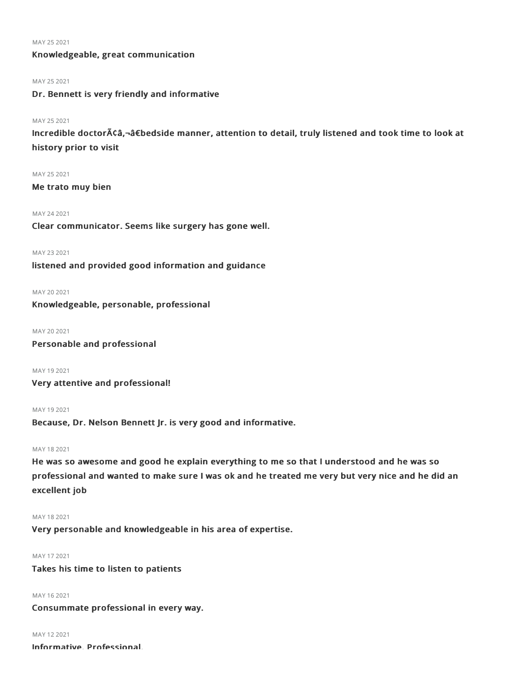#### MAY 25 2021

## Knowledgeable, great communication

## MAY 25 2021

Dr. Bennett is very friendly and informative

## MAY 252021

Incredible doctorâ€â€bedside manner, attention to detail, truly listened and took time to look at history prior to visit

## MAY 252021

Me trato muy bien

#### MAY 242021

Clear communicator. Seems like surgery has gone well.

#### MAY 232021

listened and provided good information and guidance

## MAY 20 2021

Knowledgeable, personable, professional

MAY 20 2021

Personable and professional

MAY 192021

Very attentive and professional!

#### MAY 192021

Because, Dr. Nelson Bennett Jr. is very good and informative.

## MAY 182021

He was so awesome and good he explain everything to me so that I understood and he was so professional and wanted to make sure I was ok and he treated me very but very nice and he did an excellent job

#### MAY 182021

Very personable and knowledgeable in his area of expertise.

## MAY 172021

Takes his time to listen to patients

## MAY 162021

Consummate professional in every way.

## MAY 122021

Informative. Professional.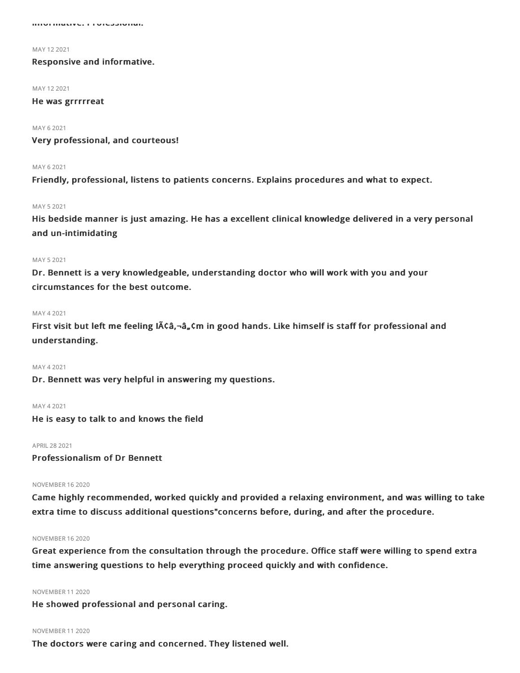Informative. Professional.

MAY 122021

Responsive and informative.

MAY 122021

## He was grrrrreat

MAY 62021

Very professional, and courteous!

## **MAY 62021**

Friendly, professional, listens to patients concerns. Explains procedures and what to expect.

### MAY 52021

His bedside manner is just amazing. He has a excellent clinical knowledge delivered in a very personal and un-intimidating

#### MAY 52021

Dr. Bennett is a very knowledgeable, understanding doctor who will work with you and your circumstances for the best outcome.

#### MAY 42021

First visit but left me feeling  $\text{IACa}$ ,  $\text{-}\text{a}$ ,  $\text{cm}$  in good hands. Like himself is staff for professional and understanding.

#### MAY 42021

Dr. Bennett was very helpful in answering my questions.

## MAY 42021

He is easy to talk to and knows the field

#### APRIL282021

Professionalism of Dr Bennett

## NOVEMBER 162020

Came highly recommended, worked quickly and provided a relaxing environment, and was willing to take extra time to discuss additional questions"concerns before, during, and after the procedure.

#### NOVEMBER 162020

Great experience from the consultation through the procedure. Office staff were willing to spend extra time answering questions to help everything proceed quickly and with confidence.

#### NOVEMBER 112020

He showed professional and personal caring.

### NOVEMBER 112020

The doctors were caring and concerned. They listened well.